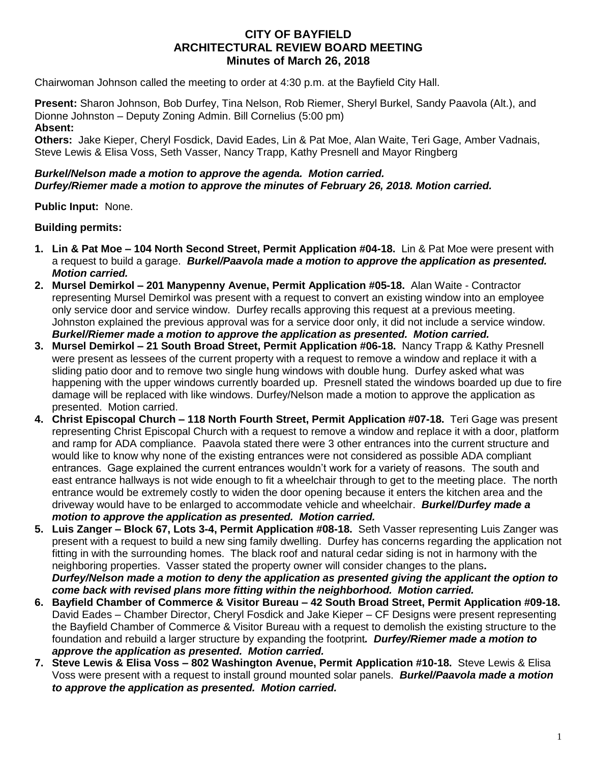# **CITY OF BAYFIELD ARCHITECTURAL REVIEW BOARD MEETING Minutes of March 26, 2018**

Chairwoman Johnson called the meeting to order at 4:30 p.m. at the Bayfield City Hall.

**Present:** Sharon Johnson, Bob Durfey, Tina Nelson, Rob Riemer, Sheryl Burkel, Sandy Paavola (Alt.), and Dionne Johnston – Deputy Zoning Admin. Bill Cornelius (5:00 pm) **Absent:**

**Others:** Jake Kieper, Cheryl Fosdick, David Eades, Lin & Pat Moe, Alan Waite, Teri Gage, Amber Vadnais, Steve Lewis & Elisa Voss, Seth Vasser, Nancy Trapp, Kathy Presnell and Mayor Ringberg

#### *Burkel/Nelson made a motion to approve the agenda. Motion carried. Durfey/Riemer made a motion to approve the minutes of February 26, 2018. Motion carried.*

**Public Input:** None.

### **Building permits:**

- **1. Lin & Pat Moe – 104 North Second Street, Permit Application #04-18.** Lin & Pat Moe were present with a request to build a garage. *Burkel/Paavola made a motion to approve the application as presented. Motion carried.*
- **2. Mursel Demirkol – 201 Manypenny Avenue, Permit Application #05-18.** Alan Waite Contractor representing Mursel Demirkol was present with a request to convert an existing window into an employee only service door and service window. Durfey recalls approving this request at a previous meeting. Johnston explained the previous approval was for a service door only, it did not include a service window. *Burkel/Riemer made a motion to approve the application as presented. Motion carried.*
- **3. Mursel Demirkol – 21 South Broad Street, Permit Application #06-18.** Nancy Trapp & Kathy Presnell were present as lessees of the current property with a request to remove a window and replace it with a sliding patio door and to remove two single hung windows with double hung. Durfey asked what was happening with the upper windows currently boarded up. Presnell stated the windows boarded up due to fire damage will be replaced with like windows. Durfey/Nelson made a motion to approve the application as presented. Motion carried.
- **4. Christ Episcopal Church – 118 North Fourth Street, Permit Application #07-18.** Teri Gage was present representing Christ Episcopal Church with a request to remove a window and replace it with a door, platform and ramp for ADA compliance. Paavola stated there were 3 other entrances into the current structure and would like to know why none of the existing entrances were not considered as possible ADA compliant entrances. Gage explained the current entrances wouldn't work for a variety of reasons. The south and east entrance hallways is not wide enough to fit a wheelchair through to get to the meeting place. The north entrance would be extremely costly to widen the door opening because it enters the kitchen area and the driveway would have to be enlarged to accommodate vehicle and wheelchair. *Burkel/Durfey made a motion to approve the application as presented. Motion carried.*
- **5. Luis Zanger – Block 67, Lots 3-4, Permit Application #08-18.** Seth Vasser representing Luis Zanger was present with a request to build a new sing family dwelling. Durfey has concerns regarding the application not fitting in with the surrounding homes. The black roof and natural cedar siding is not in harmony with the neighboring properties. Vasser stated the property owner will consider changes to the plans*. Durfey/Nelson made a motion to deny the application as presented giving the applicant the option to come back with revised plans more fitting within the neighborhood. Motion carried.*
- **6. Bayfield Chamber of Commerce & Visitor Bureau – 42 South Broad Street, Permit Application #09-18.** David Eades – Chamber Director, Cheryl Fosdick and Jake Kieper – CF Designs were present representing the Bayfield Chamber of Commerce & Visitor Bureau with a request to demolish the existing structure to the foundation and rebuild a larger structure by expanding the footprint*. Durfey/Riemer made a motion to approve the application as presented. Motion carried.*
- **7. Steve Lewis & Elisa Voss – 802 Washington Avenue, Permit Application #10-18.** Steve Lewis & Elisa Voss were present with a request to install ground mounted solar panels. *Burkel/Paavola made a motion to approve the application as presented. Motion carried.*